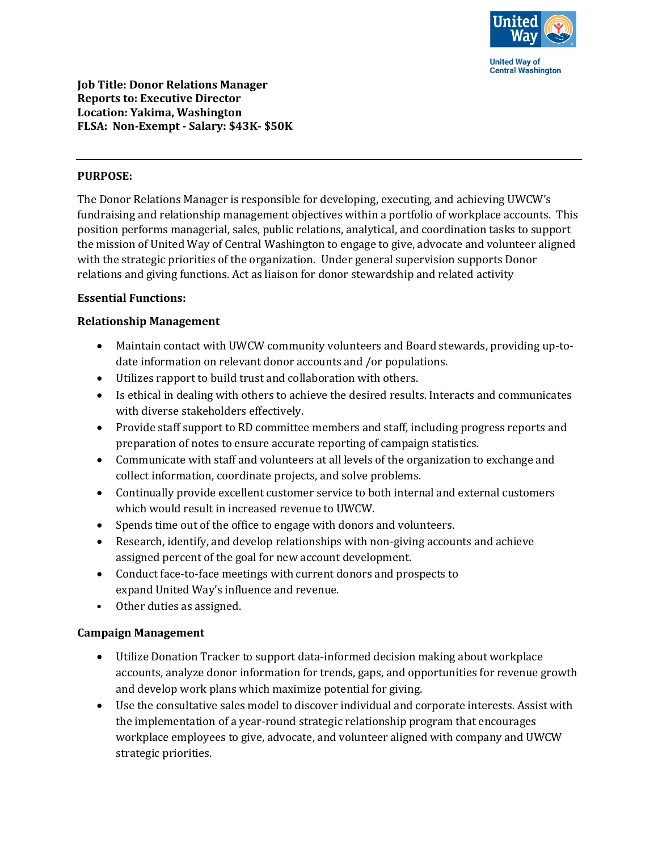

**United Way of Central Washington** 

#### **PURPOSE:**

The Donor Relations Manager is responsible for developing, executing, and achieving UWCW's fundraising and relationship management objectives within a portfolio of workplace accounts. This position performs managerial, sales, public relations, analytical, and coordination tasks to support the mission of United Way of Central Washington to engage to give, advocate and volunteer aligned with the strategic priorities of the organization. Under general supervision supports Donor relations and giving functions. Act as liaison for donor stewardship and related activity

#### **Essential Functions:**

#### **Relationship Management**

- Maintain contact with UWCW community volunteers and Board stewards, providing up-todate information on relevant donor accounts and /or populations.
- Utilizes rapport to build trust and collaboration with others.
- Is ethical in dealing with others to achieve the desired results. Interacts and communicates with diverse stakeholders effectively.
- Provide staff support to RD committee members and staff, including progress reports and preparation of notes to ensure accurate reporting of campaign statistics.
- Communicate with staff and volunteers at all levels of the organization to exchange and collect information, coordinate projects, and solve problems.
- Continually provide excellent customer service to both internal and external customers which would result in increased revenue to UWCW.
- Spends time out of the office to engage with donors and volunteers.
- Research, identify, and develop relationships with non-giving accounts and achieve assigned percent of the goal for new account development.
- Conduct face-to-face meetings with current donors and prospects to expand United Way's influence and revenue.
- Other duties as assigned.

#### **Campaign Management**

- Utilize Donation Tracker to support data-informed decision making about workplace accounts, analyze donor information for trends, gaps, and opportunities for revenue growth and develop work plans which maximize potential for giving.
- Use the consultative sales model to discover individual and corporate interests. Assist with the implementation of a year-round strategic relationship program that encourages workplace employees to give, advocate, and volunteer aligned with company and UWCW strategic priorities.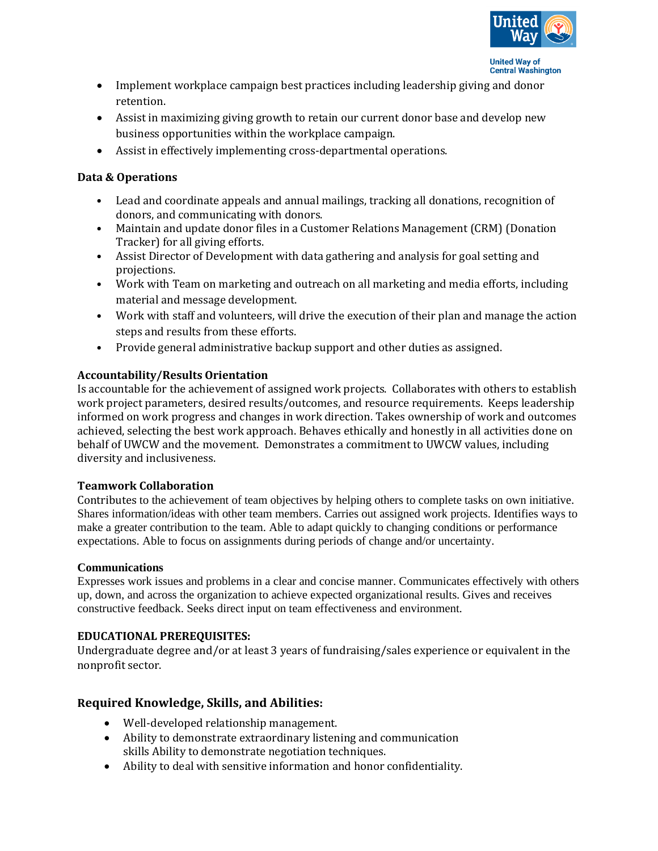

- Implement workplace campaign best practices including leadership giving and donor retention.
- Assist in maximizing giving growth to retain our current donor base and develop new business opportunities within the workplace campaign.
- Assist in effectively implementing cross-departmental operations.

## **Data & Operations**

- Lead and coordinate appeals and annual mailings, tracking all donations, recognition of donors, and communicating with donors.
- Maintain and update donor files in a Customer Relations Management (CRM) (Donation Tracker) for all giving efforts.
- Assist Director of Development with data gathering and analysis for goal setting and projections.
- Work with Team on marketing and outreach on all marketing and media efforts, including material and message development.
- Work with staff and volunteers, will drive the execution of their plan and manage the action steps and results from these efforts.
- Provide general administrative backup support and other duties as assigned.

# **Accountability/Results Orientation**

Is accountable for the achievement of assigned work projects. Collaborates with others to establish work project parameters, desired results/outcomes, and resource requirements. Keeps leadership informed on work progress and changes in work direction. Takes ownership of work and outcomes achieved, selecting the best work approach. Behaves ethically and honestly in all activities done on behalf of UWCW and the movement. Demonstrates a commitment to UWCW values, including diversity and inclusiveness.

## **Teamwork Collaboration**

Contributes to the achievement of team objectives by helping others to complete tasks on own initiative. Shares information/ideas with other team members. Carries out assigned work projects. Identifies ways to make a greater contribution to the team. Able to adapt quickly to changing conditions or performance expectations. Able to focus on assignments during periods of change and/or uncertainty.

## **Communications**

Expresses work issues and problems in a clear and concise manner. Communicates effectively with others up, down, and across the organization to achieve expected organizational results. Gives and receives constructive feedback. Seeks direct input on team effectiveness and environment.

## **EDUCATIONAL PREREQUISITES:**

Undergraduate degree and/or at least 3 years of fundraising/sales experience or equivalent in the nonprofit sector.

# **Required Knowledge, Skills, and Abilities:**

- Well-developed relationship management.
- Ability to demonstrate extraordinary listening and communication skills Ability to demonstrate negotiation techniques.
- Ability to deal with sensitive information and honor confidentiality.